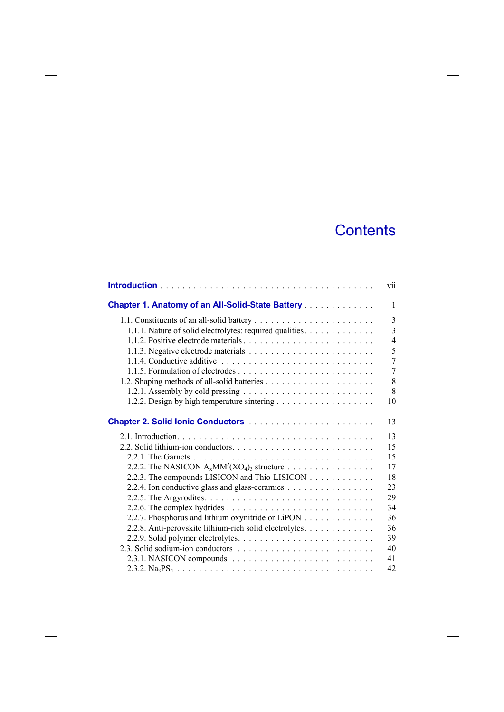## **Contents**

|                                                                                    | vii            |
|------------------------------------------------------------------------------------|----------------|
| <b>Chapter 1. Anatomy of an All-Solid-State Battery</b>                            | $\mathbf{1}$   |
|                                                                                    | $\overline{3}$ |
| 1.1.1. Nature of solid electrolytes: required qualities.                           | $\overline{3}$ |
|                                                                                    | $\overline{4}$ |
|                                                                                    | 5              |
|                                                                                    | 7              |
|                                                                                    | $\overline{7}$ |
|                                                                                    | 8              |
| 1.2.1. Assembly by cold pressing $\dots \dots \dots \dots \dots \dots \dots \dots$ | 8              |
|                                                                                    | 10             |
|                                                                                    | 13             |
|                                                                                    | 13             |
|                                                                                    | 15             |
|                                                                                    | 15             |
|                                                                                    | 17             |
| 2.2.3. The compounds LISICON and Thio-LISICON                                      | 18             |
| 2.2.4. Ion conductive glass and glass-ceramics                                     | 23             |
|                                                                                    | 29             |
|                                                                                    | 34             |
| 2.2.7. Phosphorus and lithium oxynitride or LiPON                                  | 36             |
| 2.2.8. Anti-perovskite lithium-rich solid electrolytes.                            | 36             |
|                                                                                    | 39             |
|                                                                                    | 40             |
|                                                                                    | 41             |
|                                                                                    | 42             |

 $\overline{\phantom{a}}$